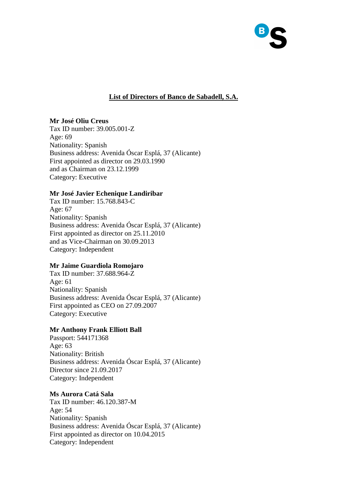

# **List of Directors of Banco de Sabadell, S.A.**

# **Mr José Oliu Creus**

Tax ID number: 39.005.001-Z Age: 69 Nationality: Spanish Business address: Avenida Óscar Esplá, 37 (Alicante) First appointed as director on 29.03.1990 and as Chairman on 23.12.1999 Category: Executive

## **Mr José Javier Echenique Landiribar**

Tax ID number: 15.768.843-C Age: 67 Nationality: Spanish Business address: Avenida Óscar Esplá, 37 (Alicante) First appointed as director on 25.11.2010 and as Vice-Chairman on 30.09.2013 Category: Independent

# **Mr Jaime Guardiola Romojaro**

Tax ID number: 37.688.964-Z Age: 61 Nationality: Spanish Business address: Avenida Óscar Esplá, 37 (Alicante) First appointed as CEO on 27.09.2007 Category: Executive

# **Mr Anthony Frank Elliott Ball**

Passport: 544171368 Age: 63 Nationality: British Business address: Avenida Óscar Esplá, 37 (Alicante) Director since 21.09.2017 Category: Independent

#### **Ms Aurora Catá Sala**

Tax ID number: 46.120.387-M Age: 54 Nationality: Spanish Business address: Avenida Óscar Esplá, 37 (Alicante) First appointed as director on 10.04.2015 Category: Independent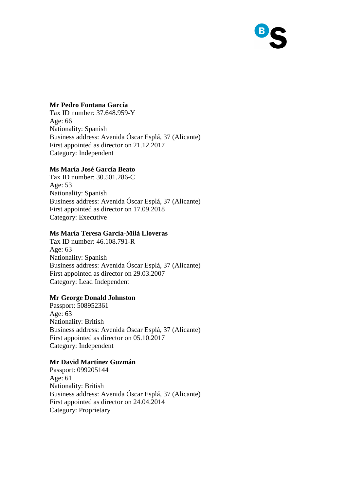

## **Mr Pedro Fontana García**

Tax ID number: 37.648.959-Y Age: 66 Nationality: Spanish Business address: Avenida Óscar Esplá, 37 (Alicante) First appointed as director on 21.12.2017 Category: Independent

#### **Ms María José García Beato**

Tax ID number: 30.501.286-C Age: 53 Nationality: Spanish Business address: Avenida Óscar Esplá, 37 (Alicante) First appointed as director on 17.09.2018 Category: Executive

## **Ms María Teresa Garcia-Milà Lloveras**

Tax ID number: 46.108.791-R Age: 63 Nationality: Spanish Business address: Avenida Óscar Esplá, 37 (Alicante) First appointed as director on 29.03.2007 Category: Lead Independent

#### **Mr George Donald Johnston**

Passport: 508952361 Age: 63 Nationality: British Business address: Avenida Óscar Esplá, 37 (Alicante) First appointed as director on 05.10.2017 Category: Independent

## **Mr David Martínez Guzmán**

Passport: 099205144 Age: 61 Nationality: British Business address: Avenida Óscar Esplá, 37 (Alicante) First appointed as director on 24.04.2014 Category: Proprietary